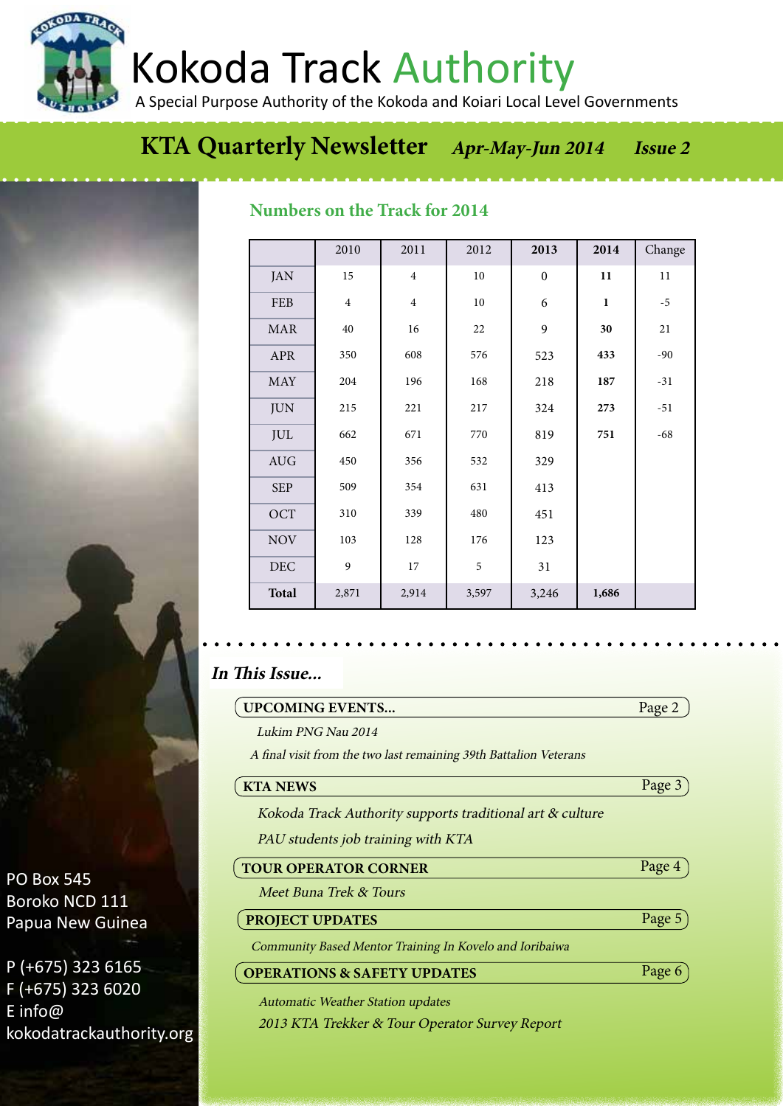Kokoda Track Authority

A Special Purpose Authority of the Kokoda and Koiari Local Level Governments

# **Licensed Tower Strange Tour Operator Newsletter** *Apr-May-Jun 2014* **Issue 2**

## **Numbers on the Track for 2014**

|                             | 2010           | 2011           | 2012   | 2013             | 2014         | Change |
|-----------------------------|----------------|----------------|--------|------------------|--------------|--------|
| <b>JAN</b>                  | 15             | $\overline{4}$ | $10\,$ | $\boldsymbol{0}$ | 11           | $11\,$ |
| FEB                         | $\overline{4}$ | $\overline{4}$ | $10\,$ | 6                | $\mathbf{1}$ | $-5$   |
| <b>MAR</b>                  | 40             | 16             | 22     | 9                | 30           | 21     |
| <b>APR</b>                  | 350            | 608            | 576    | 523              | 433          | $-90$  |
| <b>MAY</b>                  | 204            | 196            | 168    | 218              | 187          | $-31$  |
| <b>JUN</b>                  | 215            | 221            | 217    | 324              | 273          | $-51$  |
| <b>JUL</b>                  | 662            | 671            | 770    | 819              | 751          | $-68$  |
| $\mathop{\rm AUG}\nolimits$ | 450            | 356            | 532    | 329              |              |        |
| <b>SEP</b>                  | 509            | 354            | 631    | 413              |              |        |
| OCT                         | 310            | 339            | 480    | 451              |              |        |
| <b>NOV</b>                  | 103            | 128            | 176    | 123              |              |        |
| DEC                         | 9              | 17             | 5      | 31               |              |        |
| <b>Total</b>                | 2,871          | 2,914          | 3,597  | 3,246            | 1,686        |        |

## **In This Issue...**

#### **UPCOMING EVENTS...**

Page 2

| Lukim PNG Nau 2014 |  |
|--------------------|--|
|--------------------|--|

A final visit from the two last remaining 39th Battalion Veterans

## **KTA NEWS**

Page 3)

Page 6

#### Kokoda Track Authority supports traditional art & culture

PAU students job training with KTA

| <b>TOUR OPERATOR CORNER</b> | Page 4 |
|-----------------------------|--------|
| Meet Buna Trek & Tours      |        |

#### **PROJECT UPDATES**  Page 5

Community Based Mentor Training In Kovelo and Ioribaiwa

#### **OPERATIONS & SAFETY UPDATES**

Automatic Weather Station updates

2013 KTA Trekker & Tour Operator Survey Report

PO Box 545 Boroko NCD 111 Papua New Guinea

P (+675) 323 6165 F (+675) 323 6020 E info@ kokodatrackauthority.org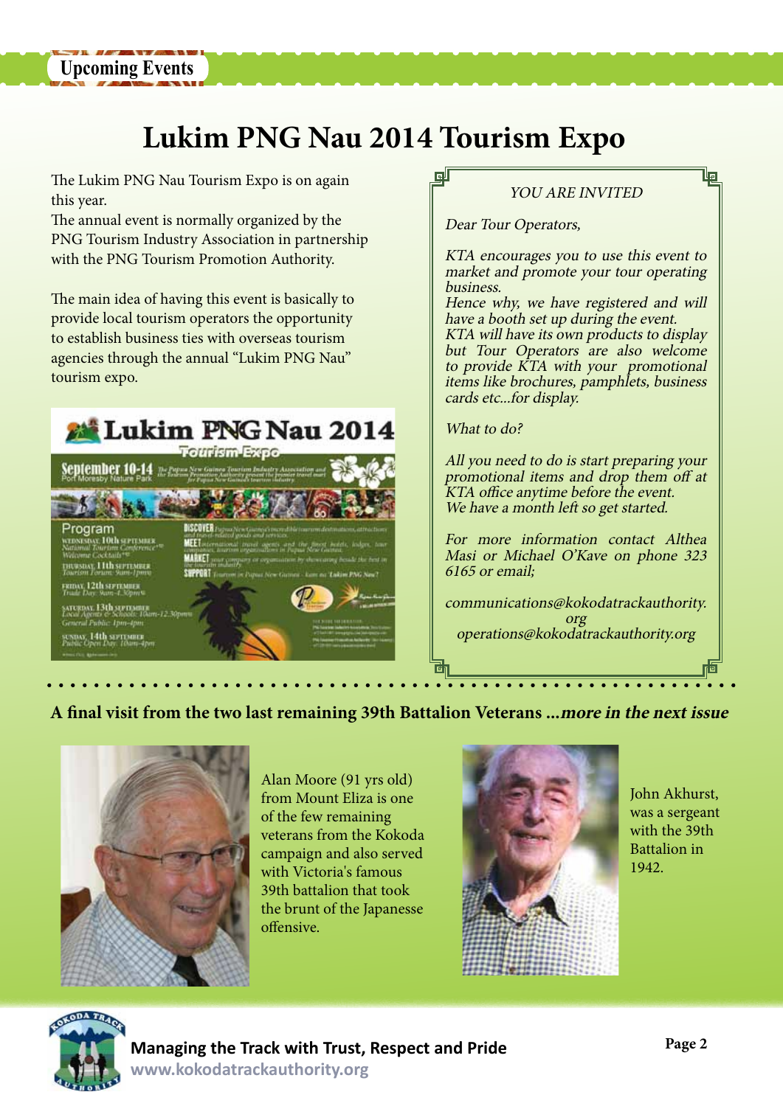

# **Lukim PNG Nau 2014 Tourism Expo**

The Lukim PNG Nau Tourism Expo is on again this year.

The annual event is normally organized by the PNG Tourism Industry Association in partnership with the PNG Tourism Promotion Authority.

The main idea of having this event is basically to provide local tourism operators the opportunity to establish business ties with overseas tourism agencies through the annual "Lukim PNG Nau" tourism expo.



## YOU ARE INVITED

<u>lia</u>

Dear Tour Operators,

KTA encourages you to use this event to market and promote your tour operating business.

Hence why, we have registered and will have a booth set up during the event. KTA will have its own products to display but Tour Operators are also welcome to provide KTA with your promotional items like brochures, pamphlets, business cards etc...for display.

What to do?

All you need to do is start preparing your promotional items and drop them off at KTA office anytime before the event. We have a month left so get started.

For more information contact Althea Masi or Michael O'Kave on phone 323 6165 or email;

communications@kokodatrackauthority. org operations@kokodatrackauthority.org

## **A final visit from the two last remaining 39th Battalion Veterans ...more in the next issue**



Alan Moore (91 yrs old) from Mount Eliza is one of the few remaining veterans from the Kokoda campaign and also served with Victoria's famous 39th battalion that took the brunt of the Japanesse offensive.



John Akhurst, was a sergeant with the 39th Battalion in 1942.



**Managing the Track with Trust, Respect and Pride www.kokodatrackauthority.org**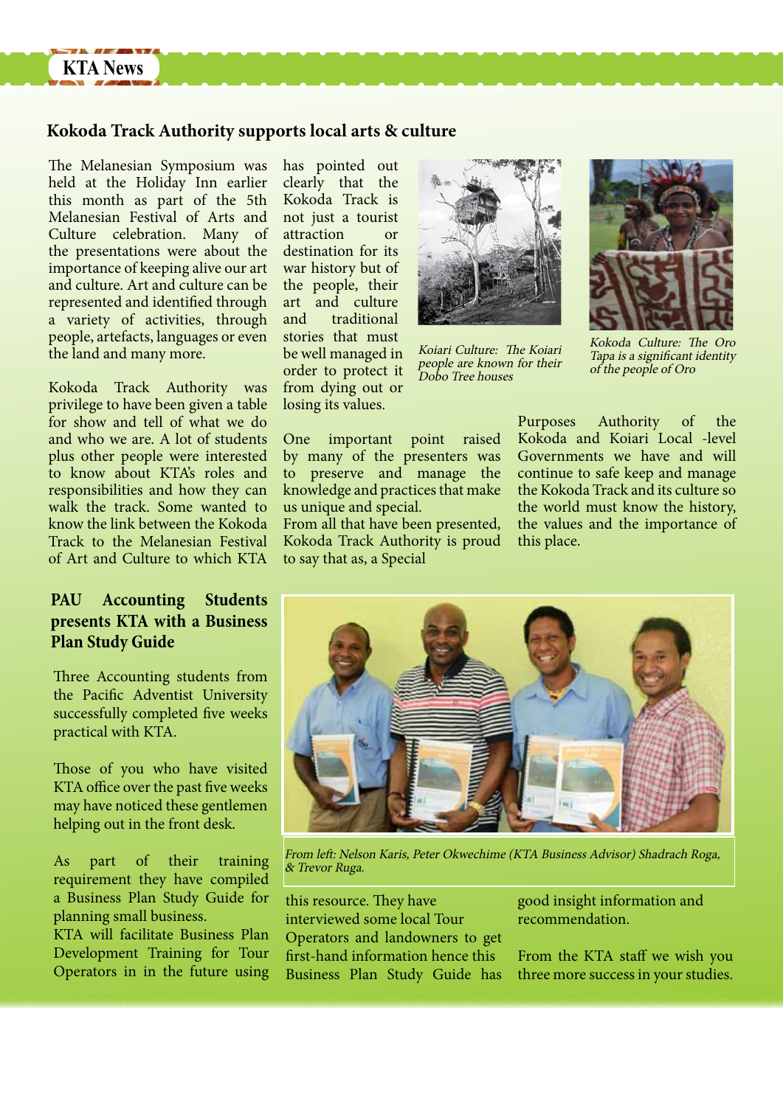## **KTA News**

## **Kokoda Track Authority supports local arts & culture**

The Melanesian Symposium was held at the Holiday Inn earlier this month as part of the 5th Melanesian Festival of Arts and Culture celebration. Many of the presentations were about the importance of keeping alive our art and culture. Art and culture can be represented and identified through a variety of activities, through people, artefacts, languages or even the land and many more.

Kokoda Track Authority was privilege to have been given a table for show and tell of what we do and who we are. A lot of students plus other people were interested to know about KTA's roles and responsibilities and how they can walk the track. Some wanted to know the link between the Kokoda Track to the Melanesian Festival of Art and Culture to which KTA

## **PAU Accounting Students presents KTA with a Business Plan Study Guide**

Three Accounting students from the Pacific Adventist University successfully completed five weeks practical with KTA.

Those of you who have visited KTA office over the past five weeks may have noticed these gentlemen helping out in the front desk.

As part of their training requirement they have compiled a Business Plan Study Guide for planning small business.

KTA will facilitate Business Plan Development Training for Tour Operators in in the future using has pointed out clearly that the Kokoda Track is not just a tourist attraction or destination for its war history but of the people, their art and culture and traditional stories that must be well managed in order to protect it from dying out or losing its values.



Koiari Culture: The Koiari people are known for their Dobo Tree houses

One important point raised by many of the presenters was to preserve and manage the knowledge and practices that make us unique and special.

From all that have been presented, Kokoda Track Authority is proud to say that as, a Special



Kokoda Culture: The Oro Tapa is a significant identity of the people of Oro

Purposes Authority of the Kokoda and Koiari Local -level Governments we have and will continue to safe keep and manage the Kokoda Track and its culture so the world must know the history, the values and the importance of this place.



From left: Nelson Karis, Peter Okwechime (KTA Business Advisor) Shadrach Roga, & Trevor Ruga.

this resource. They have interviewed some local Tour Operators and landowners to get first-hand information hence this Business Plan Study Guide has

good insight information and recommendation.

From the KTA staff we wish you three more success in your studies.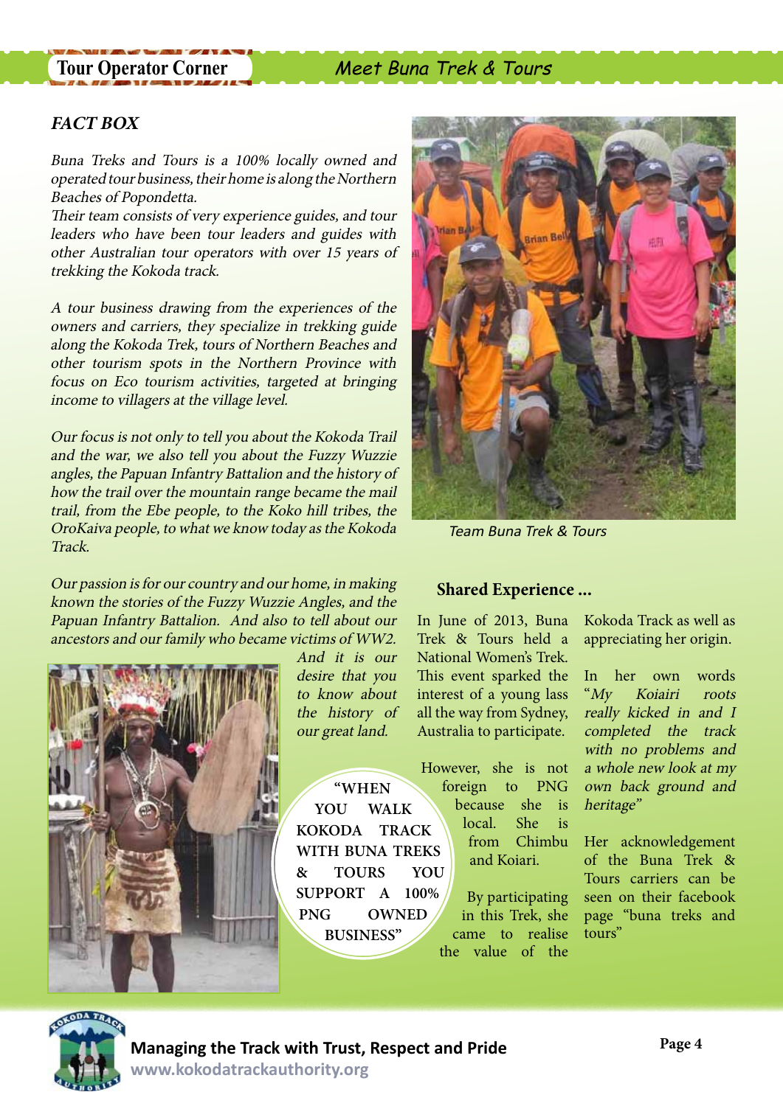## **Tour Operator Corner** Meet Buna Trek & Tours

## **FACT BOX**

Buna Treks and Tours is a 100% locally owned and operated tour business, their home is along the Northern Beaches of Popondetta.

Their team consists of very experience guides, and tour leaders who have been tour leaders and guides with other Australian tour operators with over 15 years of trekking the Kokoda track.

A tour business drawing from the experiences of the owners and carriers, they specialize in trekking guide along the Kokoda Trek, tours of Northern Beaches and other tourism spots in the Northern Province with focus on Eco tourism activities, targeted at bringing income to villagers at the village level.

Our focus is not only to tell you about the Kokoda Trail and the war, we also tell you about the Fuzzy Wuzzie angles, the Papuan Infantry Battalion and the history of how the trail over the mountain range became the mail trail, from the Ebe people, to the Koko hill tribes, the OroKaiva people, to what we know today as the Kokoda Track.

Our passion is for our country and our home, in making known the stories of the Fuzzy Wuzzie Angles, and the Papuan Infantry Battalion. And also to tell about our ancestors and our family who became victims of WW2.



And it is our desire that you to know about the history of our great land.

**"WHEN YOU WALK KOKODA TRACK WITH BUNA TREKS & TOURS YOU SUPPORT A 100% PNG OWNED BUSINESS"**



Team Buna Trek & Tours

## **Shared Experience ...**

In June of 2013, Buna Trek & Tours held a National Women's Trek. This event sparked the interest of a young lass all the way from Sydney, Australia to participate.

However, she is not foreign to PNG because she is local. She is from Chimbu and Koiari.

> By participating in this Trek, she came to realise the value of the

Kokoda Track as well as appreciating her origin.

In her own words "My Koiairi roots really kicked in and I completed the track with no problems and a whole new look at my own back ground and heritage"

Her acknowledgement of the Buna Trek & Tours carriers can be seen on their facebook page "buna treks and tours"

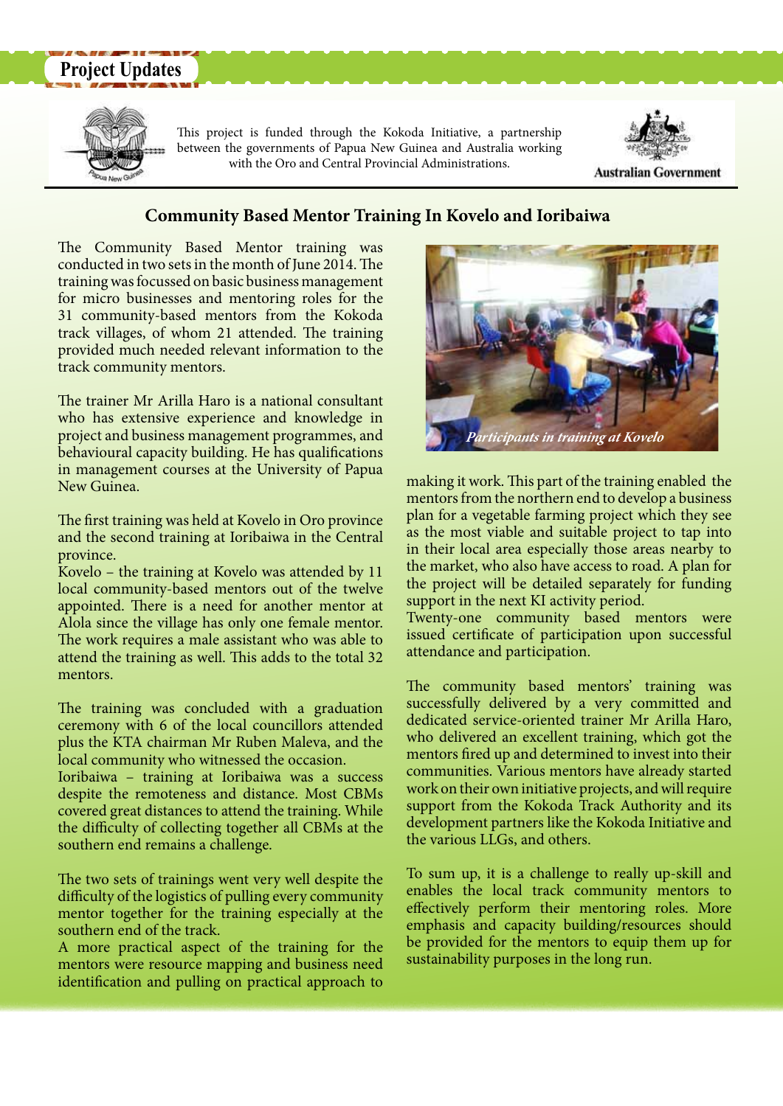



This project is funded through the Kokoda Initiative, a partnership between the governments of Papua New Guinea and Australia working with the Oro and Central Provincial Administrations.



### **Australian Government**

## **Community Based Mentor Training In Kovelo and Ioribaiwa**

The Community Based Mentor training was conducted in two sets in the month of June 2014. The training was focussed on basic business management for micro businesses and mentoring roles for the 31 community-based mentors from the Kokoda track villages, of whom 21 attended. The training provided much needed relevant information to the track community mentors.

The trainer Mr Arilla Haro is a national consultant who has extensive experience and knowledge in project and business management programmes, and behavioural capacity building. He has qualifications in management courses at the University of Papua New Guinea.

The first training was held at Kovelo in Oro province and the second training at Ioribaiwa in the Central province.

Kovelo – the training at Kovelo was attended by 11 local community-based mentors out of the twelve appointed. There is a need for another mentor at Alola since the village has only one female mentor. The work requires a male assistant who was able to attend the training as well. This adds to the total 32 mentors.

The training was concluded with a graduation ceremony with 6 of the local councillors attended plus the KTA chairman Mr Ruben Maleva, and the local community who witnessed the occasion.

Ioribaiwa – training at Ioribaiwa was a success despite the remoteness and distance. Most CBMs covered great distances to attend the training. While the difficulty of collecting together all CBMs at the southern end remains a challenge.

The two sets of trainings went very well despite the difficulty of the logistics of pulling every community mentor together for the training especially at the southern end of the track.

A more practical aspect of the training for the mentors were resource mapping and business need identification and pulling on practical approach to



making it work. This part of the training enabled the mentors from the northern end to develop a business plan for a vegetable farming project which they see as the most viable and suitable project to tap into in their local area especially those areas nearby to the market, who also have access to road. A plan for the project will be detailed separately for funding support in the next KI activity period.

Twenty-one community based mentors were issued certificate of participation upon successful attendance and participation.

The community based mentors' training was successfully delivered by a very committed and dedicated service-oriented trainer Mr Arilla Haro, who delivered an excellent training, which got the mentors fired up and determined to invest into their communities. Various mentors have already started work on their own initiative projects, and will require support from the Kokoda Track Authority and its development partners like the Kokoda Initiative and the various LLGs, and others.

To sum up, it is a challenge to really up-skill and enables the local track community mentors to effectively perform their mentoring roles. More emphasis and capacity building/resources should be provided for the mentors to equip them up for sustainability purposes in the long run.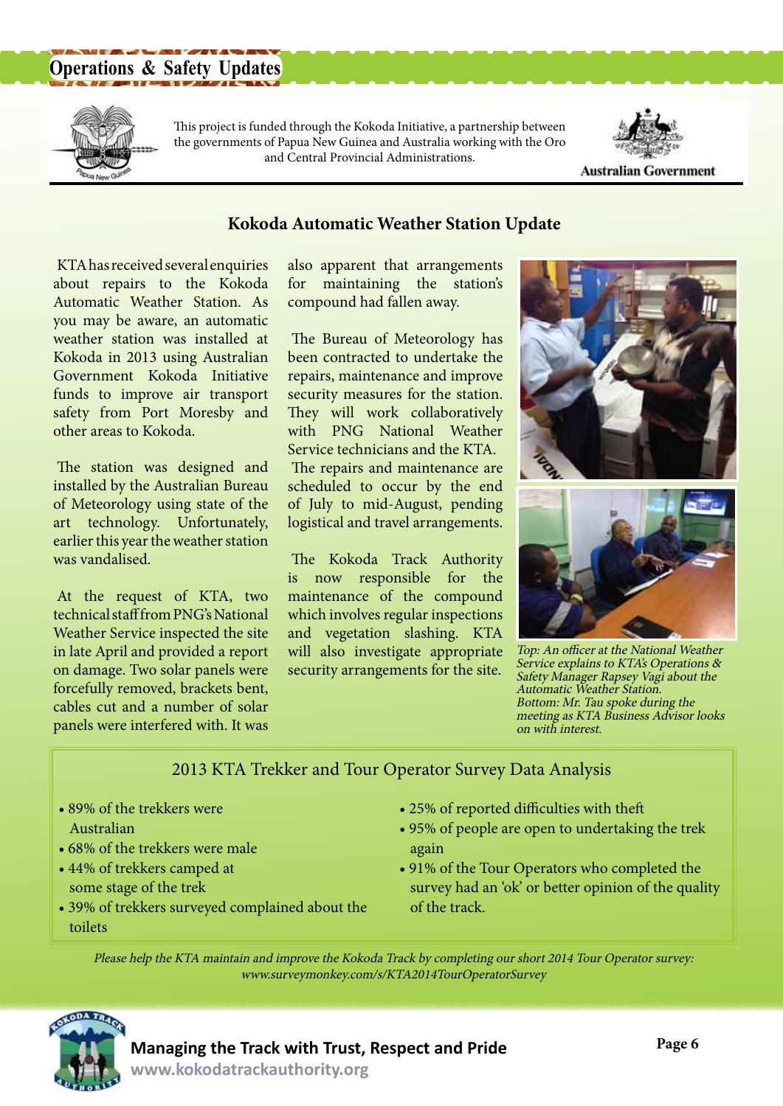# **Operations & Safety Updates**



This project is funded through the Kokoda Initiative, a partnership between the governments of Papua New Guinea and Australia working with the Oro and Central Provincial Administrations.



**Australian Government** 

## **Kokoda Automatic Weather Station Update**

KTA has received several enquiries about repairs to the Kokoda Automatic Weather Station. As you may be aware, an automatic weather station was installed at Kokoda in 2013 using Australian Government Kokoda Initiative funds to improve air transport safety from Port Moresby and other areas to Kokoda.

The station was designed and installed by the Australian Bureau of Meteorology using state of the art technology. Unfortunately, earlier this year the weather station was vandalised.

At the request of KTA, two technical staff from PNG's National Weather Service inspected the site in late April and provided a report on damage. Two solar panels were forcefully removed, brackets bent, cables cut and a number of solar panels were interfered with. It was

also apparent that arrangements for maintaining the station's compound had fallen away.

The Bureau of Meteorology has been contracted to undertake the repairs, maintenance and improve security measures for the station. They will work collaboratively with PNG National Weather Service technicians and the KTA.

The repairs and maintenance are scheduled to occur by the end of July to mid-August, pending logistical and travel arrangements.

The Kokoda Track Authority is now responsible for the maintenance of the compound which involves regular inspections and vegetation slashing. KTA will also investigate appropriate security arrangements for the site.





Top: An officer at the National Weather Service explains to KTA's Operations & Safety Manager Rapsey Vagi about the Automatic Weather Station. Bottom: Mr. Tau spoke during the meeting as KTA Business Advisor looks on with interest.

## 2013 KTA Trekker and Tour Operator Survey Data Analysis

- 89% of the trekkers were Australian
- 68% of the trekkers were male
- 44% of trekkers camped at some stage of the trek
- 39% of trekkers surveyed complained about the toilets
- 25% of reported difficulties with theft
- 95% of people are open to undertaking the trek again
- 91% of the Tour Operators who completed the survey had an 'ok' or better opinion of the quality of the track.

Please help the KTA maintain and improve the Kokoda Track by completing our short 2014 Tour Operator survey: www.surveymonkey.com/s/KTA2014TourOperatorSurvey